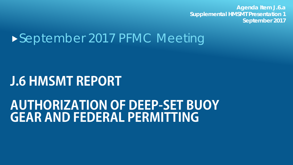**Agenda Item J.6.a Supplemental HMSMT Presentation 1 September 2017**

# September 2017 PFMC Meeting

# **J.6 HMSMT REPORT**

# **AUTHORIZATION OF DEEP-SET BUOY GEAR AND FEDERAL PERMITTING**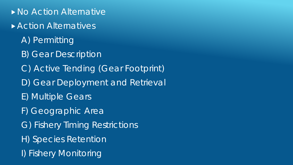▶ No Action Alternative Action Alternatives A) Permitting B) Gear Description C) Active Tending (Gear Footprint) D) Gear Deployment and Retrieval E) Multiple Gears F) Geographic Area G) Fishery Timing Restrictions H) Species Retention I) Fishery Monitoring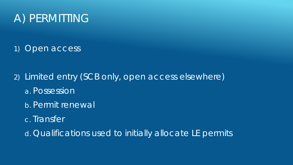# A) PERMITTING

1) Open access

- 2) Limited entry (SCB only, open access elsewhere)
	- a. Possession
	- b. Permit renewal
	- c. Transfer
	- d. Qualifications used to initially allocate LE permits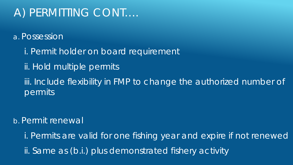# A) PERMITTING CONT….

a. Possession

- i. Permit holder on board requirement
- ii. Hold multiple permits
- iii. Include flexibility in FMP to change the authorized number of permits

### b. Permit renewal

i. Permits are valid for one fishing year and expire if not renewed ii. Same as (b.i.) plus demonstrated fishery activity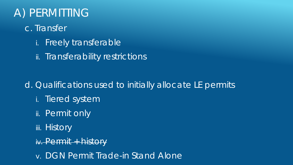# A) PERMITTING

- c. Transfer
	- i. Freely transferable
	- ii. Transferability restrictions

d. Qualifications used to initially allocate LE permits

- i. Tiered system
- ii. Permit only
- iii. History

iv. Permit + history

v. DGN Permit Trade-in Stand Alone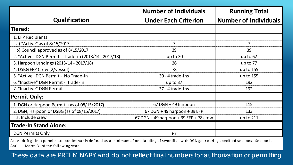| <b>Qualification</b>                                  | <b>Number of Individuals</b><br><b>Under Each Criterion</b> | <b>Running Total</b><br><b>Number of Individuals</b> |
|-------------------------------------------------------|-------------------------------------------------------------|------------------------------------------------------|
| Tiered:                                               |                                                             |                                                      |
| 1. EFP Recipients                                     |                                                             |                                                      |
| a) "Active" as of 8/15/2017                           |                                                             |                                                      |
| b) Council approved as of 8/15/2017                   | 39                                                          | 39                                                   |
| 2. "Active" DGN Permit - Trade-in (2013/14 - 2017/18) | up to $30$                                                  | up to $62$                                           |
| 3. Harpoon Landings (2013/14 - 2017/18)               | 26                                                          | up to 77                                             |
| 4. DSBG EFP Crew (2/vessel)                           | 78                                                          | up to 155                                            |
| 5. "Active" DGN Permit - No Trade-In                  | 30 - # trade-ins                                            | up to 155                                            |
| 6. "Inactive" DGN Permit - Trade-In                   | up to $37$                                                  | 192                                                  |
| 7. "Inactive" DGN Permit                              | 37 - # trade-ins                                            | 192                                                  |
| <b>Permit Only:</b>                                   |                                                             |                                                      |
| 1. DGN or Harpoon Permit (as of 08/15/2017)           | $67$ DGN + 49 harpoon                                       | 115                                                  |
| 2. DGN, Harpoon or DSBG (as of 08/15/2017)            | 67 DGN + 49 harpoon + 39 EFP                                | 133                                                  |
| a. Include crew                                       | 67 DGN + 49 harpoon + 39 EFP + 78 crew                      | up to $211$                                          |
| <b>Trade-In Stand Alone:</b>                          |                                                             |                                                      |
| <b>DGN Permits Only</b>                               | 67                                                          |                                                      |

Active drift gillnet permits are preliminarily defined as a minimum of one landing of swordfish with DGN gear during specified seasons. Season is April 1 - March 31 of the following year.

These data are PRELIMINARY and do not reflect final numbers for authorization or permitting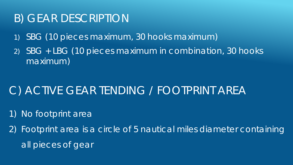# B) GEAR DESCRIPTION

- 1) SBG (10 pieces maximum, 30 hooks maximum)
- 2) SBG + LBG (10 pieces maximum in combination, 30 hooks maximum)

# C) ACTIVE GEAR TENDING / FOOTPRINT AREA

1) No footprint area

2) Footprint area is a circle of 5 nautical miles diameter containing all pieces of gear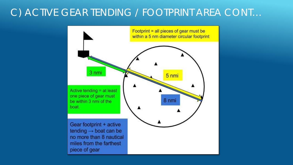### C) ACTIVE GEAR TENDING / FOOTPRINT AREA CONT…

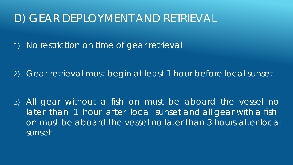### D) GEAR DEPLOYMENT AND RETRIEVAL

1) No restriction on time of gear retrieval

2) Gear retrieval must begin at least 1 hour before local sunset

3) All gear without a fish on must be aboard the vessel no later than 1 hour after local sunset and all gear with a fish on must be aboard the vessel no later than 3 hours after local sunset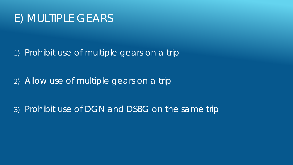# E) MULTIPLE GEARS

1) Prohibit use of multiple gears on a trip

2) Allow use of multiple gears on a trip

3) Prohibit use of DGN and DSBG on the same trip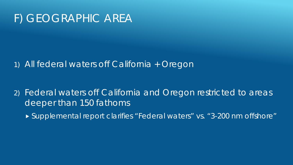### F) GEOGRAPHIC AREA

#### 1) All federal waters off California + Oregon

2) Federal waters off California and Oregon restricted to areas deeper than 150 fathoms

▶ Supplemental report clarifies "Federal waters" vs. "3-200 nm offshore"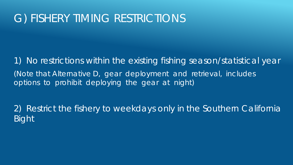## G) FISHERY TIMING RESTRICTIONS

1) No restrictions within the existing fishing season/statistical year (Note that Alternative D, gear deployment and retrieval, includes options to prohibit deploying the gear at night)

2) Restrict the fishery to weekdays only in the Southern California Bight